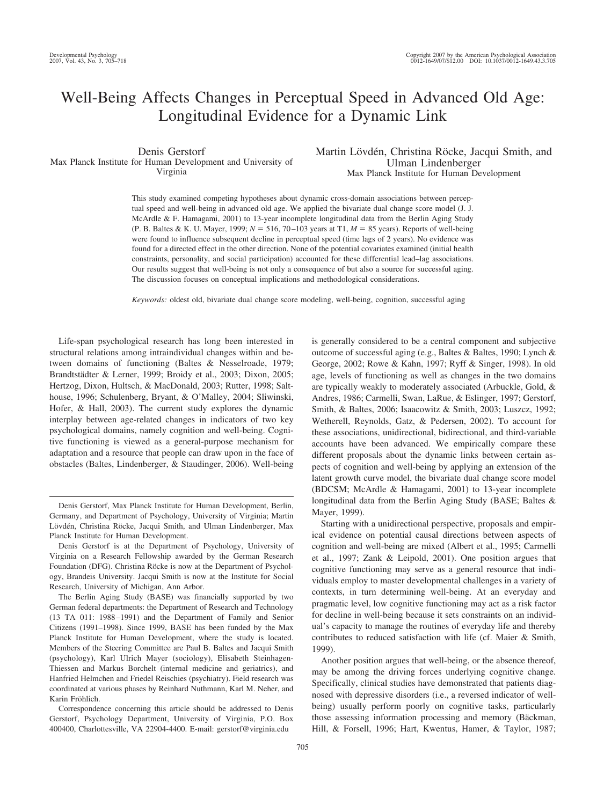# Well-Being Affects Changes in Perceptual Speed in Advanced Old Age: Longitudinal Evidence for a Dynamic Link

Denis Gerstorf Max Planck Institute for Human Development and University of Virginia

Martin Lövdén, Christina Röcke, Jacqui Smith, and Ulman Lindenberger Max Planck Institute for Human Development

This study examined competing hypotheses about dynamic cross-domain associations between perceptual speed and well-being in advanced old age. We applied the bivariate dual change score model (J. J. McArdle & F. Hamagami, 2001) to 13-year incomplete longitudinal data from the Berlin Aging Study (P. B. Baltes & K. U. Mayer, 1999;  $N = 516$ , 70–103 years at T1,  $M = 85$  years). Reports of well-being were found to influence subsequent decline in perceptual speed (time lags of 2 years). No evidence was found for a directed effect in the other direction. None of the potential covariates examined (initial health constraints, personality, and social participation) accounted for these differential lead–lag associations. Our results suggest that well-being is not only a consequence of but also a source for successful aging. The discussion focuses on conceptual implications and methodological considerations.

*Keywords:* oldest old, bivariate dual change score modeling, well-being, cognition, successful aging

Life-span psychological research has long been interested in structural relations among intraindividual changes within and between domains of functioning (Baltes & Nesselroade, 1979; Brandtstädter & Lerner, 1999; Broidy et al., 2003; Dixon, 2005; Hertzog, Dixon, Hultsch, & MacDonald, 2003; Rutter, 1998; Salthouse, 1996; Schulenberg, Bryant, & O'Malley, 2004; Sliwinski, Hofer, & Hall, 2003). The current study explores the dynamic interplay between age-related changes in indicators of two key psychological domains, namely cognition and well-being. Cognitive functioning is viewed as a general-purpose mechanism for adaptation and a resource that people can draw upon in the face of obstacles (Baltes, Lindenberger, & Staudinger, 2006). Well-being is generally considered to be a central component and subjective outcome of successful aging (e.g., Baltes & Baltes, 1990; Lynch & George, 2002; Rowe & Kahn, 1997; Ryff & Singer, 1998). In old age, levels of functioning as well as changes in the two domains are typically weakly to moderately associated (Arbuckle, Gold, & Andres, 1986; Carmelli, Swan, LaRue, & Eslinger, 1997; Gerstorf, Smith, & Baltes, 2006; Isaacowitz & Smith, 2003; Luszcz, 1992; Wetherell, Reynolds, Gatz, & Pedersen, 2002). To account for these associations, unidirectional, bidirectional, and third-variable accounts have been advanced. We empirically compare these different proposals about the dynamic links between certain aspects of cognition and well-being by applying an extension of the latent growth curve model, the bivariate dual change score model (BDCSM; McArdle & Hamagami, 2001) to 13-year incomplete longitudinal data from the Berlin Aging Study (BASE; Baltes & Mayer, 1999).

Starting with a unidirectional perspective, proposals and empirical evidence on potential causal directions between aspects of cognition and well-being are mixed (Albert et al., 1995; Carmelli et al., 1997; Zank & Leipold, 2001). One position argues that cognitive functioning may serve as a general resource that individuals employ to master developmental challenges in a variety of contexts, in turn determining well-being. At an everyday and pragmatic level, low cognitive functioning may act as a risk factor for decline in well-being because it sets constraints on an individual's capacity to manage the routines of everyday life and thereby contributes to reduced satisfaction with life (cf. Maier & Smith, 1999).

Another position argues that well-being, or the absence thereof, may be among the driving forces underlying cognitive change. Specifically, clinical studies have demonstrated that patients diagnosed with depressive disorders (i.e., a reversed indicator of wellbeing) usually perform poorly on cognitive tasks, particularly those assessing information processing and memory (Bäckman, Hill, & Forsell, 1996; Hart, Kwentus, Hamer, & Taylor, 1987;

Denis Gerstorf, Max Planck Institute for Human Development, Berlin, Germany, and Department of Psychology, University of Virginia; Martin Lövdén, Christina Röcke, Jacqui Smith, and Ulman Lindenberger, Max Planck Institute for Human Development.

Denis Gerstorf is at the Department of Psychology, University of Virginia on a Research Fellowship awarded by the German Research Foundation (DFG). Christina Röcke is now at the Department of Psychology, Brandeis University. Jacqui Smith is now at the Institute for Social Research, University of Michigan, Ann Arbor.

The Berlin Aging Study (BASE) was financially supported by two German federal departments: the Department of Research and Technology (13 TA 011: 1988 –1991) and the Department of Family and Senior Citizens (1991–1998). Since 1999, BASE has been funded by the Max Planck Institute for Human Development, where the study is located. Members of the Steering Committee are Paul B. Baltes and Jacqui Smith (psychology), Karl Ulrich Mayer (sociology), Elisabeth Steinhagen-Thiessen and Markus Borchelt (internal medicine and geriatrics), and Hanfried Helmchen and Friedel Reischies (psychiatry). Field research was coordinated at various phases by Reinhard Nuthmann, Karl M. Neher, and Karin Fröhlich.

Correspondence concerning this article should be addressed to Denis Gerstorf, Psychology Department, University of Virginia, P.O. Box 400400, Charlottesville, VA 22904-4400. E-mail: gerstorf@virginia.edu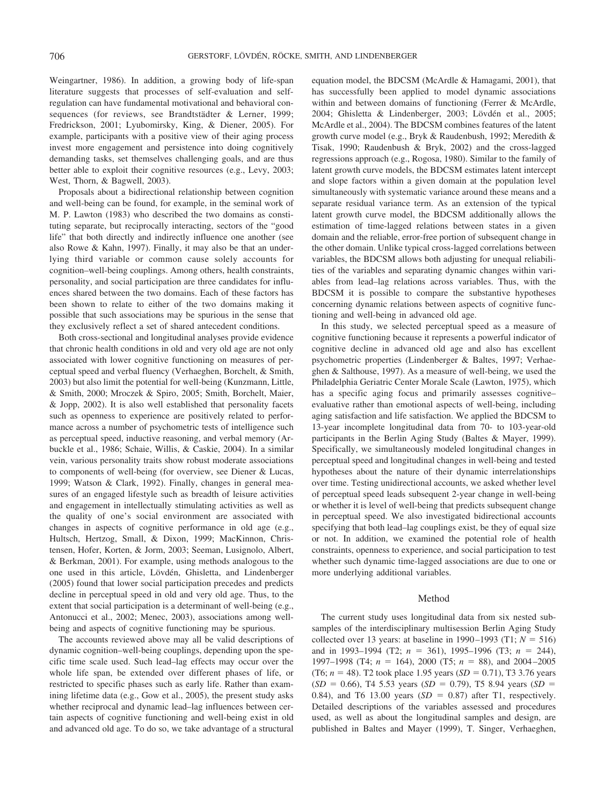Weingartner, 1986). In addition, a growing body of life-span literature suggests that processes of self-evaluation and selfregulation can have fundamental motivational and behavioral consequences (for reviews, see Brandtstädter & Lerner, 1999; Fredrickson, 2001; Lyubomirsky, King, & Diener, 2005). For example, participants with a positive view of their aging process invest more engagement and persistence into doing cognitively demanding tasks, set themselves challenging goals, and are thus better able to exploit their cognitive resources (e.g., Levy, 2003; West, Thorn, & Bagwell, 2003).

Proposals about a bidirectional relationship between cognition and well-being can be found, for example, in the seminal work of M. P. Lawton (1983) who described the two domains as constituting separate, but reciprocally interacting, sectors of the "good life" that both directly and indirectly influence one another (see also Rowe & Kahn, 1997). Finally, it may also be that an underlying third variable or common cause solely accounts for cognition–well-being couplings. Among others, health constraints, personality, and social participation are three candidates for influences shared between the two domains. Each of these factors has been shown to relate to either of the two domains making it possible that such associations may be spurious in the sense that they exclusively reflect a set of shared antecedent conditions.

Both cross-sectional and longitudinal analyses provide evidence that chronic health conditions in old and very old age are not only associated with lower cognitive functioning on measures of perceptual speed and verbal fluency (Verhaeghen, Borchelt, & Smith, 2003) but also limit the potential for well-being (Kunzmann, Little, & Smith, 2000; Mroczek & Spiro, 2005; Smith, Borchelt, Maier, & Jopp, 2002). It is also well established that personality facets such as openness to experience are positively related to performance across a number of psychometric tests of intelligence such as perceptual speed, inductive reasoning, and verbal memory (Arbuckle et al., 1986; Schaie, Willis, & Caskie, 2004). In a similar vein, various personality traits show robust moderate associations to components of well-being (for overview, see Diener & Lucas, 1999; Watson & Clark, 1992). Finally, changes in general measures of an engaged lifestyle such as breadth of leisure activities and engagement in intellectually stimulating activities as well as the quality of one's social environment are associated with changes in aspects of cognitive performance in old age (e.g., Hultsch, Hertzog, Small, & Dixon, 1999; MacKinnon, Christensen, Hofer, Korten, & Jorm, 2003; Seeman, Lusignolo, Albert, & Berkman, 2001). For example, using methods analogous to the one used in this article, Lövdén, Ghisletta, and Lindenberger (2005) found that lower social participation precedes and predicts decline in perceptual speed in old and very old age. Thus, to the extent that social participation is a determinant of well-being (e.g., Antonucci et al., 2002; Menec, 2003), associations among wellbeing and aspects of cognitive functioning may be spurious.

The accounts reviewed above may all be valid descriptions of dynamic cognition–well-being couplings, depending upon the specific time scale used. Such lead–lag effects may occur over the whole life span, be extended over different phases of life, or restricted to specific phases such as early life. Rather than examining lifetime data (e.g., Gow et al., 2005), the present study asks whether reciprocal and dynamic lead–lag influences between certain aspects of cognitive functioning and well-being exist in old and advanced old age. To do so, we take advantage of a structural

equation model, the BDCSM (McArdle & Hamagami, 2001), that has successfully been applied to model dynamic associations within and between domains of functioning (Ferrer & McArdle, 2004; Ghisletta & Lindenberger, 2003; Lövdén et al., 2005; McArdle et al., 2004). The BDCSM combines features of the latent growth curve model (e.g., Bryk & Raudenbush, 1992; Meredith & Tisak, 1990; Raudenbush & Bryk, 2002) and the cross-lagged regressions approach (e.g., Rogosa, 1980). Similar to the family of latent growth curve models, the BDCSM estimates latent intercept and slope factors within a given domain at the population level simultaneously with systematic variance around these means and a separate residual variance term. As an extension of the typical latent growth curve model, the BDCSM additionally allows the estimation of time-lagged relations between states in a given domain and the reliable, error-free portion of subsequent change in the other domain. Unlike typical cross-lagged correlations between variables, the BDCSM allows both adjusting for unequal reliabilities of the variables and separating dynamic changes within variables from lead–lag relations across variables. Thus, with the BDCSM it is possible to compare the substantive hypotheses concerning dynamic relations between aspects of cognitive functioning and well-being in advanced old age.

In this study, we selected perceptual speed as a measure of cognitive functioning because it represents a powerful indicator of cognitive decline in advanced old age and also has excellent psychometric properties (Lindenberger & Baltes, 1997; Verhaeghen & Salthouse, 1997). As a measure of well-being, we used the Philadelphia Geriatric Center Morale Scale (Lawton, 1975), which has a specific aging focus and primarily assesses cognitive– evaluative rather than emotional aspects of well-being, including aging satisfaction and life satisfaction. We applied the BDCSM to 13-year incomplete longitudinal data from 70- to 103-year-old participants in the Berlin Aging Study (Baltes & Mayer, 1999). Specifically, we simultaneously modeled longitudinal changes in perceptual speed and longitudinal changes in well-being and tested hypotheses about the nature of their dynamic interrelationships over time. Testing unidirectional accounts, we asked whether level of perceptual speed leads subsequent 2-year change in well-being or whether it is level of well-being that predicts subsequent change in perceptual speed. We also investigated bidirectional accounts specifying that both lead–lag couplings exist, be they of equal size or not. In addition, we examined the potential role of health constraints, openness to experience, and social participation to test whether such dynamic time-lagged associations are due to one or more underlying additional variables.

# Method

The current study uses longitudinal data from six nested subsamples of the interdisciplinary multisession Berlin Aging Study collected over 13 years: at baseline in 1990–1993 (T1;  $N = 516$ ) and in 1993–1994 (T2;  $n = 361$ ), 1995–1996 (T3;  $n = 244$ ), 1997–1998 (T4;  $n = 164$ ), 2000 (T5;  $n = 88$ ), and 2004–2005 (T6;  $n = 48$ ). T2 took place 1.95 years (*SD* = 0.71), T3 3.76 years  $(SD = 0.66)$ , T4 5.53 years  $(SD = 0.79)$ , T5 8.94 years  $(SD = 0.66)$ 0.84), and T6 13.00 years  $(SD = 0.87)$  after T1, respectively. Detailed descriptions of the variables assessed and procedures used, as well as about the longitudinal samples and design, are published in Baltes and Mayer (1999), T. Singer, Verhaeghen,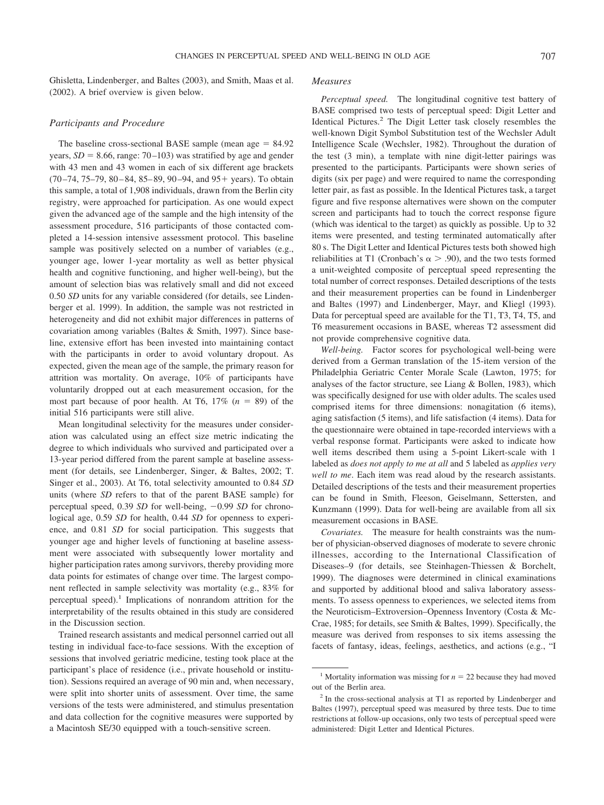Ghisletta, Lindenberger, and Baltes (2003), and Smith, Maas et al. (2002). A brief overview is given below.

### *Participants and Procedure*

The baseline cross-sectional BASE sample (mean age  $= 84.92$ ) years,  $SD = 8.66$ , range: 70–103) was stratified by age and gender with 43 men and 43 women in each of six different age brackets (70-74, 75-79, 80-84, 85-89, 90-94, and 95+ years). To obtain this sample, a total of 1,908 individuals, drawn from the Berlin city registry, were approached for participation. As one would expect given the advanced age of the sample and the high intensity of the assessment procedure, 516 participants of those contacted completed a 14-session intensive assessment protocol. This baseline sample was positively selected on a number of variables (e.g., younger age, lower 1-year mortality as well as better physical health and cognitive functioning, and higher well-being), but the amount of selection bias was relatively small and did not exceed 0.50 *SD* units for any variable considered (for details, see Lindenberger et al. 1999). In addition, the sample was not restricted in heterogeneity and did not exhibit major differences in patterns of covariation among variables (Baltes & Smith, 1997). Since baseline, extensive effort has been invested into maintaining contact with the participants in order to avoid voluntary dropout. As expected, given the mean age of the sample, the primary reason for attrition was mortality. On average, 10% of participants have voluntarily dropped out at each measurement occasion, for the most part because of poor health. At T6,  $17\%$  ( $n = 89$ ) of the initial 516 participants were still alive.

Mean longitudinal selectivity for the measures under consideration was calculated using an effect size metric indicating the degree to which individuals who survived and participated over a 13-year period differed from the parent sample at baseline assessment (for details, see Lindenberger, Singer, & Baltes, 2002; T. Singer et al., 2003). At T6, total selectivity amounted to 0.84 *SD* units (where *SD* refers to that of the parent BASE sample) for perceptual speed, 0.39 *SD* for well-being,  $-0.99$  *SD* for chronological age, 0.59 *SD* for health, 0.44 *SD* for openness to experience, and 0.81 *SD* for social participation. This suggests that younger age and higher levels of functioning at baseline assessment were associated with subsequently lower mortality and higher participation rates among survivors, thereby providing more data points for estimates of change over time. The largest component reflected in sample selectivity was mortality (e.g., 83% for perceptual speed).<sup>1</sup> Implications of nonrandom attrition for the interpretability of the results obtained in this study are considered in the Discussion section.

Trained research assistants and medical personnel carried out all testing in individual face-to-face sessions. With the exception of sessions that involved geriatric medicine, testing took place at the participant's place of residence (i.e., private household or institution). Sessions required an average of 90 min and, when necessary, were split into shorter units of assessment. Over time, the same versions of the tests were administered, and stimulus presentation and data collection for the cognitive measures were supported by a Macintosh SE/30 equipped with a touch-sensitive screen.

### *Measures*

*Perceptual speed.* The longitudinal cognitive test battery of BASE comprised two tests of perceptual speed: Digit Letter and Identical Pictures.2 The Digit Letter task closely resembles the well-known Digit Symbol Substitution test of the Wechsler Adult Intelligence Scale (Wechsler, 1982). Throughout the duration of the test (3 min), a template with nine digit-letter pairings was presented to the participants. Participants were shown series of digits (six per page) and were required to name the corresponding letter pair, as fast as possible. In the Identical Pictures task, a target figure and five response alternatives were shown on the computer screen and participants had to touch the correct response figure (which was identical to the target) as quickly as possible. Up to 32 items were presented, and testing terminated automatically after 80 s. The Digit Letter and Identical Pictures tests both showed high reliabilities at T1 (Cronbach's  $\alpha$  > .90), and the two tests formed a unit-weighted composite of perceptual speed representing the total number of correct responses. Detailed descriptions of the tests and their measurement properties can be found in Lindenberger and Baltes (1997) and Lindenberger, Mayr, and Kliegl (1993). Data for perceptual speed are available for the T1, T3, T4, T5, and T6 measurement occasions in BASE, whereas T2 assessment did not provide comprehensive cognitive data.

*Well-being.* Factor scores for psychological well-being were derived from a German translation of the 15-item version of the Philadelphia Geriatric Center Morale Scale (Lawton, 1975; for analyses of the factor structure, see Liang & Bollen, 1983), which was specifically designed for use with older adults. The scales used comprised items for three dimensions: nonagitation (6 items), aging satisfaction (5 items), and life satisfaction (4 items). Data for the questionnaire were obtained in tape-recorded interviews with a verbal response format. Participants were asked to indicate how well items described them using a 5-point Likert-scale with 1 labeled as *does not apply to me at all* and 5 labeled as *applies very well to me*. Each item was read aloud by the research assistants. Detailed descriptions of the tests and their measurement properties can be found in Smith, Fleeson, Geiselmann, Settersten, and Kunzmann (1999). Data for well-being are available from all six measurement occasions in BASE.

*Covariates.* The measure for health constraints was the number of physician-observed diagnoses of moderate to severe chronic illnesses, according to the International Classification of Diseases–9 (for details, see Steinhagen-Thiessen & Borchelt, 1999). The diagnoses were determined in clinical examinations and supported by additional blood and saliva laboratory assessments. To assess openness to experiences, we selected items from the Neuroticism–Extroversion–Openness Inventory (Costa & Mc-Crae, 1985; for details, see Smith & Baltes, 1999). Specifically, the measure was derived from responses to six items assessing the facets of fantasy, ideas, feelings, aesthetics, and actions (e.g., "I

<sup>&</sup>lt;sup>1</sup> Mortality information was missing for  $n = 22$  because they had moved out of the Berlin area.

<sup>2</sup> In the cross-sectional analysis at T1 as reported by Lindenberger and Baltes (1997), perceptual speed was measured by three tests. Due to time restrictions at follow-up occasions, only two tests of perceptual speed were administered: Digit Letter and Identical Pictures.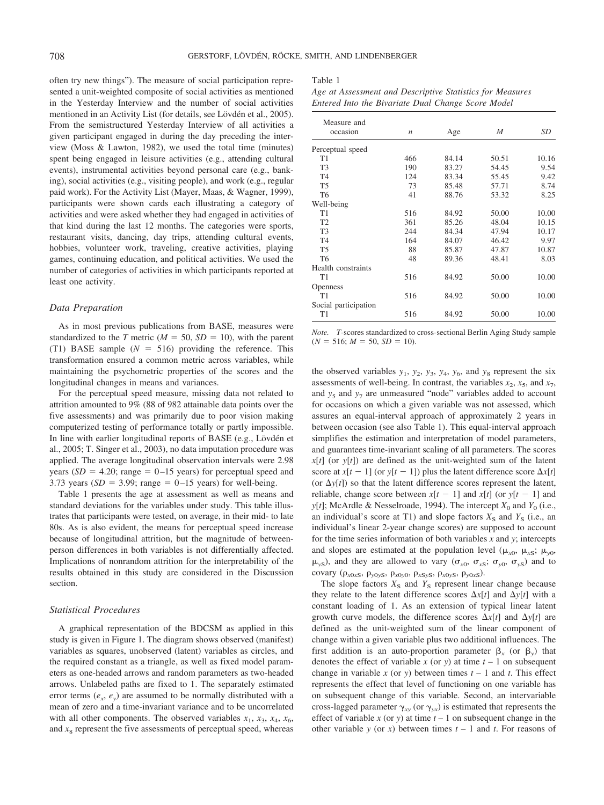often try new things"). The measure of social participation represented a unit-weighted composite of social activities as mentioned in the Yesterday Interview and the number of social activities mentioned in an Activity List (for details, see Lövdén et al., 2005). From the semistructured Yesterday Interview of all activities a given participant engaged in during the day preceding the interview (Moss & Lawton, 1982), we used the total time (minutes) spent being engaged in leisure activities (e.g., attending cultural events), instrumental activities beyond personal care (e.g., banking), social activities (e.g., visiting people), and work (e.g., regular paid work). For the Activity List (Mayer, Maas, & Wagner, 1999), participants were shown cards each illustrating a category of activities and were asked whether they had engaged in activities of that kind during the last 12 months. The categories were sports, restaurant visits, dancing, day trips, attending cultural events, hobbies, volunteer work, traveling, creative activities, playing games, continuing education, and political activities. We used the number of categories of activities in which participants reported at least one activity.

### *Data Preparation*

As in most previous publications from BASE, measures were standardized to the *T* metric ( $M = 50$ ,  $SD = 10$ ), with the parent (T1) BASE sample  $(N = 516)$  providing the reference. This transformation ensured a common metric across variables, while maintaining the psychometric properties of the scores and the longitudinal changes in means and variances.

For the perceptual speed measure, missing data not related to attrition amounted to 9% (88 of 982 attainable data points over the five assessments) and was primarily due to poor vision making computerized testing of performance totally or partly impossible. In line with earlier longitudinal reports of BASE (e.g., Lövdén et al., 2005; T. Singer et al., 2003), no data imputation procedure was applied. The average longitudinal observation intervals were 2.98 years  $(SD = 4.20$ ; range  $= 0-15$  years) for perceptual speed and 3.73 years ( $SD = 3.99$ ; range = 0-15 years) for well-being.

Table 1 presents the age at assessment as well as means and standard deviations for the variables under study. This table illustrates that participants were tested, on average, in their mid- to late 80s. As is also evident, the means for perceptual speed increase because of longitudinal attrition, but the magnitude of betweenperson differences in both variables is not differentially affected. Implications of nonrandom attrition for the interpretability of the results obtained in this study are considered in the Discussion section.

# *Statistical Procedures*

A graphical representation of the BDCSM as applied in this study is given in Figure 1. The diagram shows observed (manifest) variables as squares, unobserved (latent) variables as circles, and the required constant as a triangle, as well as fixed model parameters as one-headed arrows and random parameters as two-headed arrows. Unlabeled paths are fixed to 1. The separately estimated error terms  $(e_x, e_y)$  are assumed to be normally distributed with a mean of zero and a time-invariant variance and to be uncorrelated with all other components. The observed variables  $x_1$ ,  $x_3$ ,  $x_4$ ,  $x_6$ , and  $x<sub>8</sub>$  represent the five assessments of perceptual speed, whereas

### Table 1

*Age at Assessment and Descriptive Statistics for Measures Entered Into the Bivariate Dual Change Score Model*

| Measure and<br>occasion | n   | Age   | M     | SD    |
|-------------------------|-----|-------|-------|-------|
|                         |     |       |       |       |
| Perceptual speed        |     |       |       |       |
| T1                      | 466 | 84.14 | 50.51 | 10.16 |
| T <sub>3</sub>          | 190 | 83.27 | 54.45 | 9.54  |
| T <sub>4</sub>          | 124 | 83.34 | 55.45 | 9.42  |
| T <sub>5</sub>          | 73  | 85.48 | 57.71 | 8.74  |
| T <sub>6</sub>          | 41  | 88.76 | 53.32 | 8.25  |
| Well-being              |     |       |       |       |
| T1                      | 516 | 84.92 | 50.00 | 10.00 |
| T <sub>2</sub>          | 361 | 85.26 | 48.04 | 10.15 |
| T <sub>3</sub>          | 244 | 84.34 | 47.94 | 10.17 |
| T <sub>4</sub>          | 164 | 84.07 | 46.42 | 9.97  |
| T <sub>5</sub>          | 88  | 85.87 | 47.87 | 10.87 |
| T <sub>6</sub>          | 48  | 89.36 | 48.41 | 8.03  |
| Health constraints      |     |       |       |       |
| T1                      | 516 | 84.92 | 50.00 | 10.00 |
| <b>Openness</b>         |     |       |       |       |
| T1                      | 516 | 84.92 | 50.00 | 10.00 |
| Social participation    |     |       |       |       |
| T1                      | 516 | 84.92 | 50.00 | 10.00 |

*Note. T*-scores standardized to cross-sectional Berlin Aging Study sample  $(N = 516; M = 50, SD = 10).$ 

the observed variables  $y_1$ ,  $y_2$ ,  $y_3$ ,  $y_4$ ,  $y_6$ , and  $y_8$  represent the six assessments of well-being. In contrast, the variables  $x_2$ ,  $x_5$ , and  $x_7$ , and  $y_5$  and  $y_7$  are unmeasured "node" variables added to account for occasions on which a given variable was not assessed, which assures an equal-interval approach of approximately 2 years in between occasion (see also Table 1). This equal-interval approach simplifies the estimation and interpretation of model parameters, and guarantees time-invariant scaling of all parameters. The scores *x*[*t*] (or *y*[*t*]) are defined as the unit-weighted sum of the latent score at  $x[t - 1]$  (or  $y[t - 1]$ ) plus the latent difference score  $\Delta x[t]$ (or  $\Delta y[t]$ ) so that the latent difference scores represent the latent, reliable, change score between  $x[t - 1]$  and  $x[t]$  (or  $y[t - 1]$  and *y*[*t*]; McArdle & Nesselroade, 1994). The intercept  $X_0$  and  $Y_0$  (i.e., an individual's score at T1) and slope factors  $X<sub>S</sub>$  and  $Y<sub>S</sub>$  (i.e., an individual's linear 2-year change scores) are supposed to account for the time series information of both variables *x* and *y*; intercepts and slopes are estimated at the population level ( $\mu_{x0}$ ,  $\mu_{xS}$ ;  $\mu_{y0}$ ,  $\mu_{\gamma S}$ ), and they are allowed to vary ( $\sigma_{x0}$ ,  $\sigma_{xS}$ ;  $\sigma_{y0}$ ,  $\sigma_{yS}$ ) and to covary  $(\rho_{x0xS}, \rho_{y0yS}, \rho_{x0y0}, \rho_{xSyS}, \rho_{x0yS}, \rho_{y0xS}).$ 

The slope factors  $X_S$  and  $Y_S$  represent linear change because they relate to the latent difference scores  $\Delta x[t]$  and  $\Delta y[t]$  with a constant loading of 1. As an extension of typical linear latent growth curve models, the difference scores  $\Delta x[t]$  and  $\Delta y[t]$  are defined as the unit-weighted sum of the linear component of change within a given variable plus two additional influences. The first addition is an auto-proportion parameter  $\beta_x$  (or  $\beta_y$ ) that denotes the effect of variable *x* (or *y*) at time  $t - 1$  on subsequent change in variable *x* (or *y*) between times  $t - 1$  and *t*. This effect represents the effect that level of functioning on one variable has on subsequent change of this variable. Second, an intervariable cross-lagged parameter  $\gamma_{xy}$  (or  $\gamma_{yx}$ ) is estimated that represents the effect of variable  $x$  (or  $y$ ) at time  $t - 1$  on subsequent change in the other variable *y* (or *x*) between times  $t - 1$  and *t*. For reasons of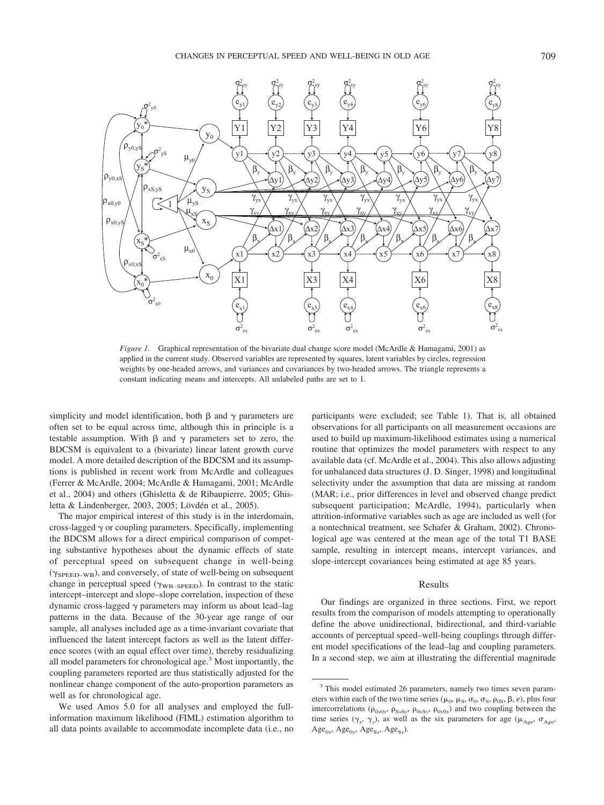

*Figure 1.* Graphical representation of the bivariate dual change score model (McArdle & Hamagami, 2001) as applied in the current study. Observed variables are represented by squares, latent variables by circles, regression weights by one-headed arrows, and variances and covariances by two-headed arrows. The triangle represents a constant indicating means and intercepts. All unlabeled paths are set to 1.

simplicity and model identification, both  $\beta$  and  $\gamma$  parameters are often set to be equal across time, although this in principle is a testable assumption. With  $\beta$  and  $\gamma$  parameters set to zero, the BDCSM is equivalent to a (bivariate) linear latent growth curve model. A more detailed description of the BDCSM and its assumptions is published in recent work from McArdle and colleagues (Ferrer & McArdle, 2004; McArdle & Hamagami, 2001; McArdle et al., 2004) and others (Ghisletta & de Ribaupierre, 2005; Ghisletta & Lindenberger, 2003, 2005; Lövdén et al., 2005).

The major empirical interest of this study is in the interdomain, cross-lagged  $\gamma$  or coupling parameters. Specifically, implementing the BDCSM allows for a direct empirical comparison of competing substantive hypotheses about the dynamic effects of state of perceptual speed on subsequent change in well-being  $(\gamma_{\rm SEED-WB})$ , and conversely, of state of well-being on subsequent change in perceptual speed ( $\gamma_{\text{WB-SPEED}}$ ). In contrast to the static intercept–intercept and slope–slope correlation, inspection of these dynamic cross-lagged  $\gamma$  parameters may inform us about lead–lag patterns in the data. Because of the 30-year age range of our sample, all analyses included age as a time-invariant covariate that influenced the latent intercept factors as well as the latent difference scores (with an equal effect over time), thereby residualizing all model parameters for chronological age.3 Most importantly, the coupling parameters reported are thus statistically adjusted for the nonlinear change component of the auto-proportion parameters as well as for chronological age.

We used Amos 5.0 for all analyses and employed the fullinformation maximum likelihood (FIML) estimation algorithm to all data points available to accommodate incomplete data (i.e., no participants were excluded; see Table 1). That is, all obtained observations for all participants on all measurement occasions are used to build up maximum-likelihood estimates using a numerical routine that optimizes the model parameters with respect to any available data (cf. McArdle et al., 2004). This also allows adjusting for unbalanced data structures (J. D. Singer, 1998) and longitudinal selectivity under the assumption that data are missing at random (MAR; i.e., prior differences in level and observed change predict subsequent participation; McArdle, 1994), particularly when attrition-informative variables such as age are included as well (for a nontechnical treatment, see Schafer & Graham, 2002). Chronological age was centered at the mean age of the total T1 BASE sample, resulting in intercept means, intercept variances, and slope-intercept covariances being estimated at age 85 years.

#### Results

Our findings are organized in three sections. First, we report results from the comparison of models attempting to operationally define the above unidirectional, bidirectional, and third-variable accounts of perceptual speed–well-being couplings through different model specifications of the lead–lag and coupling parameters. In a second step, we aim at illustrating the differential magnitude

<sup>&</sup>lt;sup>3</sup> This model estimated 26 parameters, namely two times seven parameters within each of the two time series ( $\mu_0$ ,  $\mu_S$ ,  $\sigma_0$ ,  $\sigma_S$ ,  $\rho_{0S}$ ,  $\beta$ ,  $e$ ), plus four intercorrelations ( $\rho_{0x0y}$ ,  $\rho_{SxSy}$ ,  $\rho_{0xSy}$ ,  $\rho_{0y0x}$ ) and two coupling between the time series  $(\gamma_x, \gamma_y)$ , as well as the six parameters for age ( $\mu_{\text{Age}}$ ,  $\sigma_{\text{Age}}$ ,  $Age_{0x}$ ,  $Age_{0y}$ ,  $Age_{Sx}$ ,  $Age_{Sy}$ ).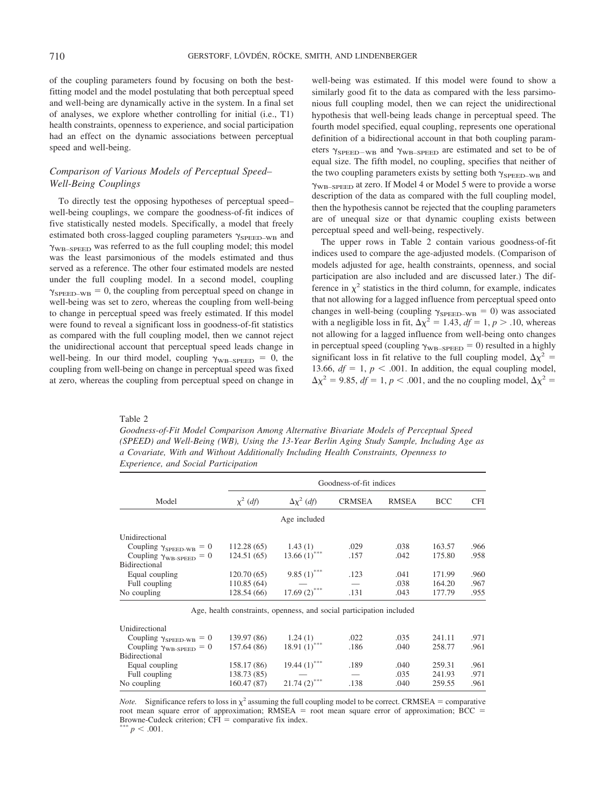of the coupling parameters found by focusing on both the bestfitting model and the model postulating that both perceptual speed and well-being are dynamically active in the system. In a final set of analyses, we explore whether controlling for initial (i.e., T1) health constraints, openness to experience, and social participation had an effect on the dynamic associations between perceptual speed and well-being.

# *Comparison of Various Models of Perceptual Speed– Well-Being Couplings*

To directly test the opposing hypotheses of perceptual speed– well-being couplings, we compare the goodness-of-fit indices of five statistically nested models. Specifically, a model that freely estimated both cross-lagged coupling parameters  $\gamma_{\rm SPEC-WB}$  and WB–SPEED was referred to as the full coupling model; this model was the least parsimonious of the models estimated and thus served as a reference. The other four estimated models are nested under the full coupling model. In a second model, coupling  $\gamma_{\rm SPEC-WB} = 0$ , the coupling from perceptual speed on change in well-being was set to zero, whereas the coupling from well-being to change in perceptual speed was freely estimated. If this model were found to reveal a significant loss in goodness-of-fit statistics as compared with the full coupling model, then we cannot reject the unidirectional account that perceptual speed leads change in well-being. In our third model, coupling  $\gamma_{\text{WB-SPEED}} = 0$ , the coupling from well-being on change in perceptual speed was fixed at zero, whereas the coupling from perceptual speed on change in well-being was estimated. If this model were found to show a similarly good fit to the data as compared with the less parsimonious full coupling model, then we can reject the unidirectional hypothesis that well-being leads change in perceptual speed. The fourth model specified, equal coupling, represents one operational definition of a bidirectional account in that both coupling parameters  $\gamma_{\rm SPEC-WB}$  and  $\gamma_{\rm WB-SPEED}$  are estimated and set to be of equal size. The fifth model, no coupling, specifies that neither of the two coupling parameters exists by setting both  $\gamma_{\rm SPEC-WB}$  and  $\gamma_{\text{WB-SPEED}}$  at zero. If Model 4 or Model 5 were to provide a worse description of the data as compared with the full coupling model, then the hypothesis cannot be rejected that the coupling parameters are of unequal size or that dynamic coupling exists between perceptual speed and well-being, respectively.

The upper rows in Table 2 contain various goodness-of-fit indices used to compare the age-adjusted models. (Comparison of models adjusted for age, health constraints, openness, and social participation are also included and are discussed later.) The difference in  $\chi^2$  statistics in the third column, for example, indicates that not allowing for a lagged influence from perceptual speed onto changes in well-being (coupling  $\gamma_{\text{SPEED-WB}} = 0$ ) was associated with a negligible loss in fit,  $\Delta \chi^2 = 1.43$ ,  $df = 1$ ,  $p > .10$ , whereas not allowing for a lagged influence from well-being onto changes in perceptual speed (coupling  $\gamma_{\text{WB-SPEED}} = 0$ ) resulted in a highly significant loss in fit relative to the full coupling model,  $\Delta \chi^2$  = 13.66,  $df = 1$ ,  $p < .001$ . In addition, the equal coupling model,  $\Delta \chi^2$  = 9.85, *df* = 1, *p* < .001, and the no coupling model,  $\Delta \chi^2$  =

Table 2

*Goodness-of-Fit Model Comparison Among Alternative Bivariate Models of Perceptual Speed (SPEED) and Well-Being (WB), Using the 13-Year Berlin Aging Study Sample, Including Age as a Covariate, With and Without Additionally Including Health Constraints, Openness to Experience, and Social Participation*

|                                         | Goodness-of-fit indices |                                                                      |               |              |            |            |
|-----------------------------------------|-------------------------|----------------------------------------------------------------------|---------------|--------------|------------|------------|
| Model                                   | $\chi^2$ (df)           | $\Delta x^2$ (df)                                                    | <b>CRMSEA</b> | <b>RMSEA</b> | <b>BCC</b> | <b>CFI</b> |
|                                         |                         | Age included                                                         |               |              |            |            |
| Unidirectional                          |                         |                                                                      |               |              |            |            |
| Coupling $\gamma_{\text{SPEED-WB}} = 0$ | 112.28(65)              | 1.43(1)                                                              | .029          | .038         | 163.57     | .966       |
| Coupling $\gamma_{\text{WB-SPEED}} = 0$ | 124.51 (65)             | $13.66(1)$ ***                                                       | .157          | .042         | 175.80     | .958       |
| <b>Bidirectional</b>                    |                         |                                                                      |               |              |            |            |
| Equal coupling                          | 120.70(65)              | $9.85(1)$ ***                                                        | .123          | .041         | 171.99     | .960       |
| Full coupling                           | 110.85(64)              |                                                                      |               | .038         | 164.20     | .967       |
| No coupling                             | 128.54 (66)             | 17.69 $(2)$ ***                                                      | .131          | .043         | 177.79     | .955       |
|                                         |                         | Age, health constraints, openness, and social participation included |               |              |            |            |
| Unidirectional                          |                         |                                                                      |               |              |            |            |
| Coupling $\gamma_{\rm SPEC-WB} = 0$     | 139.97 (86)             | 1.24(1)                                                              | .022          | .035         | 241.11     | .971       |
| Coupling $\gamma_{\text{WB-SPEED}} = 0$ | 157.64 (86)             | $18.91(1)$ ***                                                       | .186          | .040         | 258.77     | .961       |
| <b>Bidirectional</b>                    |                         |                                                                      |               |              |            |            |
| Equal coupling                          | 158.17 (86)             | 19.44 $(1)$ ***                                                      | .189          | .040         | 259.31     | .961       |
| Full coupling                           | 138.73 (85)             |                                                                      |               | .035         | 241.93     | .971       |
| No coupling                             | 160.47 (87)             | $21.74(2)$ ***                                                       | .138          | .040         | 259.55     | .961       |

*Note.* Significance refers to loss in  $\chi^2$  assuming the full coupling model to be correct. CRMSEA = comparative root mean square error of approximation;  $RMSEA$  = root mean square error of approximation;  $BCC$  = Browne-Cudeck criterion; CFI = comparative fix index. \*\*\*  $p < .001$ .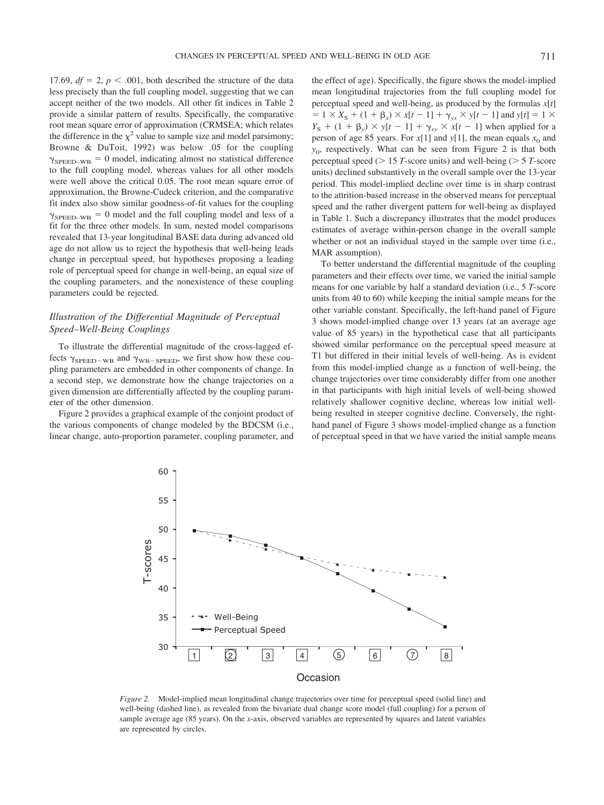17.69,  $df = 2$ ,  $p < .001$ , both described the structure of the data less precisely than the full coupling model, suggesting that we can accept neither of the two models. All other fit indices in Table 2 provide a similar pattern of results. Specifically, the comparative root mean square error of approximation (CRMSEA; which relates the difference in the  $\chi^2$  value to sample size and model parsimony; Browne & DuToit, 1992) was below .05 for the coupling  $\gamma_{\rm SPEC-WB} = 0$  model, indicating almost no statistical difference to the full coupling model, whereas values for all other models were well above the critical 0.05. The root mean square error of approximation, the Browne-Cudeck criterion, and the comparative fit index also show similar goodness-of-fit values for the coupling  $\gamma_{\rm SEED-WB} = 0$  model and the full coupling model and less of a fit for the three other models. In sum, nested model comparisons revealed that 13-year longitudinal BASE data during advanced old age do not allow us to reject the hypothesis that well-being leads change in perceptual speed, but hypotheses proposing a leading role of perceptual speed for change in well-being, an equal size of the coupling parameters, and the nonexistence of these coupling parameters could be rejected.

# *Illustration of the Differential Magnitude of Perceptual Speed–Well-Being Couplings*

To illustrate the differential magnitude of the cross-lagged effects  $\gamma_{\rm SPEC-WB}$  and  $\gamma_{\rm WB-SPEED}$ , we first show how these coupling parameters are embedded in other components of change. In a second step, we demonstrate how the change trajectories on a given dimension are differentially affected by the coupling parameter of the other dimension.

Figure 2 provides a graphical example of the conjoint product of the various components of change modeled by the BDCSM (i.e., linear change, auto-proportion parameter, coupling parameter, and the effect of age). Specifically, the figure shows the model-implied mean longitudinal trajectories from the full coupling model for perceptual speed and well-being, as produced by the formulas *x*[*t*]  $= 1 \times X_s + (1 + \beta_x) \times x[t - 1] + \gamma_{yx} \times y[t - 1]$  and  $y[t] = 1 \times$  $Y_{\rm S}$  + (1 +  $\beta_{\rm y}$ ) ×  $y[t - 1]$  +  $\gamma_{\rm xy}$  ×  $x[t - 1]$  when applied for a person of age 85 years. For  $x[1]$  and  $y[1]$ , the mean equals  $x_0$  and *y*<sub>0</sub>, respectively. What can be seen from Figure 2 is that both perceptual speed ( $> 15$  *T*-score units) and well-being ( $> 5$  *T*-score units) declined substantively in the overall sample over the 13-year period. This model-implied decline over time is in sharp contrast to the attrition-based increase in the observed means for perceptual speed and the rather divergent pattern for well-being as displayed in Table 1. Such a discrepancy illustrates that the model produces estimates of average within-person change in the overall sample whether or not an individual stayed in the sample over time (i.e., MAR assumption).

To better understand the differential magnitude of the coupling parameters and their effects over time, we varied the initial sample means for one variable by half a standard deviation (i.e., 5 *T*-score units from 40 to 60) while keeping the initial sample means for the other variable constant. Specifically, the left-hand panel of Figure 3 shows model-implied change over 13 years (at an average age value of 85 years) in the hypothetical case that all participants showed similar performance on the perceptual speed measure at T1 but differed in their initial levels of well-being. As is evident from this model-implied change as a function of well-being, the change trajectories over time considerably differ from one another in that participants with high initial levels of well-being showed relatively shallower cognitive decline, whereas low initial wellbeing resulted in steeper cognitive decline. Conversely, the righthand panel of Figure 3 shows model-implied change as a function of perceptual speed in that we have varied the initial sample means



*Figure 2.* Model-implied mean longitudinal change trajectories over time for perceptual speed (solid line) and well-being (dashed line), as revealed from the bivariate dual change score model (full coupling) for a person of sample average age (85 years). On the *x*-axis, observed variables are represented by squares and latent variables are represented by circles.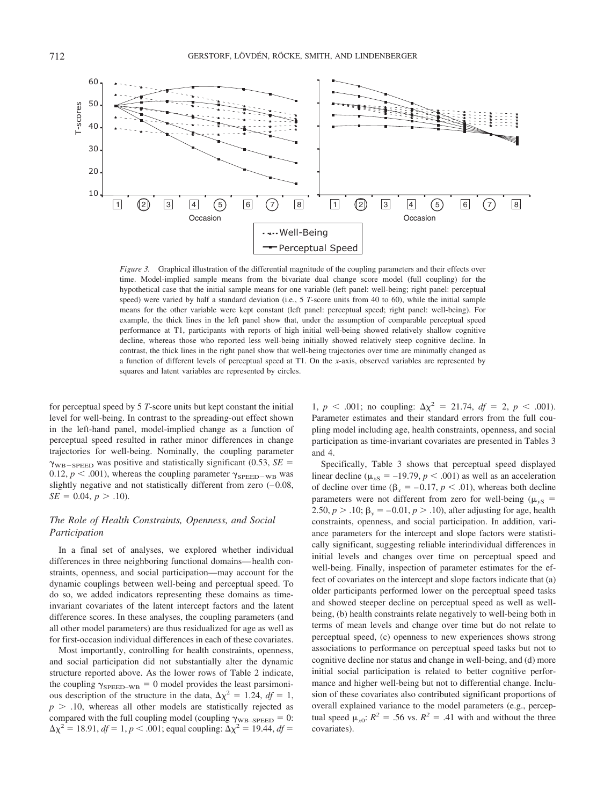

*Figure 3.* Graphical illustration of the differential magnitude of the coupling parameters and their effects over time. Model-implied sample means from the bivariate dual change score model (full coupling) for the hypothetical case that the initial sample means for one variable (left panel: well-being; right panel: perceptual speed) were varied by half a standard deviation (i.e., 5 *T*-score units from 40 to 60), while the initial sample means for the other variable were kept constant (left panel: perceptual speed; right panel: well-being). For example, the thick lines in the left panel show that, under the assumption of comparable perceptual speed performance at T1, participants with reports of high initial well-being showed relatively shallow cognitive decline, whereas those who reported less well-being initially showed relatively steep cognitive decline. In contrast, the thick lines in the right panel show that well-being trajectories over time are minimally changed as a function of different levels of perceptual speed at T1. On the *x*-axis, observed variables are represented by squares and latent variables are represented by circles.

for perceptual speed by 5 *T*-score units but kept constant the initial level for well-being. In contrast to the spreading-out effect shown in the left-hand panel, model-implied change as a function of perceptual speed resulted in rather minor differences in change trajectories for well-being. Nominally, the coupling parameter  $\gamma_{\text{WB-SPEED}}$  was positive and statistically significant (0.53, *SE* = 0.12,  $p < .001$ ), whereas the coupling parameter  $\gamma_{\rm SPEC-WB}$  was slightly negative and not statistically different from zero  $(-0.08,$  $SE = 0.04, p > .10$ .

# *The Role of Health Constraints, Openness, and Social Participation*

In a final set of analyses, we explored whether individual differences in three neighboring functional domains— health constraints, openness, and social participation—may account for the dynamic couplings between well-being and perceptual speed. To do so, we added indicators representing these domains as timeinvariant covariates of the latent intercept factors and the latent difference scores. In these analyses, the coupling parameters (and all other model parameters) are thus residualized for age as well as for first-occasion individual differences in each of these covariates.

Most importantly, controlling for health constraints, openness, and social participation did not substantially alter the dynamic structure reported above. As the lower rows of Table 2 indicate, the coupling  $\gamma_{\text{SPEED-WB}} = 0$  model provides the least parsimonious description of the structure in the data,  $\Delta \chi^2 = 1.24$ ,  $df = 1$ ,  $p > .10$ , whereas all other models are statistically rejected as compared with the full coupling model (coupling  $\gamma_{\text{WB-SPEED}} = 0$ :  $\Delta \chi^2 = 18.91$ ,  $df = 1$ ,  $p < .001$ ; equal coupling:  $\Delta \chi^2 = 19.44$ ,  $df =$ 

1,  $p < .001$ ; no coupling:  $\Delta \chi^2 = 21.74$ ,  $df = 2$ ,  $p < .001$ ). Parameter estimates and their standard errors from the full coupling model including age, health constraints, openness, and social participation as time-invariant covariates are presented in Tables 3 and 4.

Specifically, Table 3 shows that perceptual speed displayed linear decline ( $\mu_{\text{xs}} = -19.79$ ,  $p < .001$ ) as well as an acceleration of decline over time ( $\beta_x = -0.17$ ,  $p < .01$ ), whereas both decline parameters were not different from zero for well-being ( $\mu_{\rm vs}$  = 2.50,  $p > 0.10$ ;  $\beta_y = -0.01$ ,  $p > 0.10$ , after adjusting for age, health constraints, openness, and social participation. In addition, variance parameters for the intercept and slope factors were statistically significant, suggesting reliable interindividual differences in initial levels and changes over time on perceptual speed and well-being. Finally, inspection of parameter estimates for the effect of covariates on the intercept and slope factors indicate that (a) older participants performed lower on the perceptual speed tasks and showed steeper decline on perceptual speed as well as wellbeing, (b) health constraints relate negatively to well-being both in terms of mean levels and change over time but do not relate to perceptual speed, (c) openness to new experiences shows strong associations to performance on perceptual speed tasks but not to cognitive decline nor status and change in well-being, and (d) more initial social participation is related to better cognitive performance and higher well-being but not to differential change. Inclusion of these covariates also contributed significant proportions of overall explained variance to the model parameters (e.g., perceptual speed  $\mu_{x0}$ :  $R^2 = .56$  vs.  $R^2 = .41$  with and without the three covariates).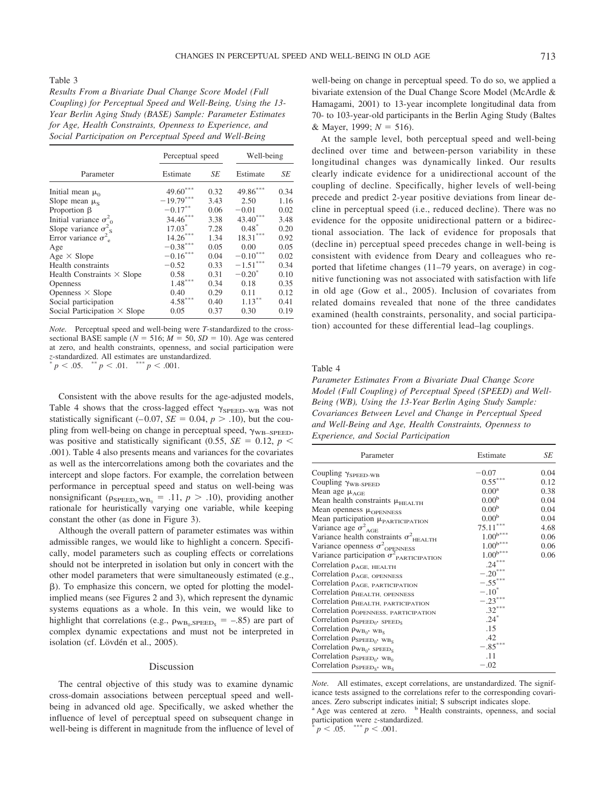Table 3

*Results From a Bivariate Dual Change Score Model (Full Coupling) for Perceptual Speed and Well-Being, Using the 13- Year Berlin Aging Study (BASE) Sample: Parameter Estimates for Age, Health Constraints, Openness to Experience, and Social Participation on Perceptual Speed and Well-Being*

|                                        | Perceptual speed   |      | Well-being |      |
|----------------------------------------|--------------------|------|------------|------|
| Parameter                              | Estimate           | SЕ   | Estimate   | SЕ   |
| Initial mean $\mu_0$                   | $49.60***$         | 0.32 | 49.86***   | 0.34 |
| Slope mean $\mu_s$                     | $-19.79***$        | 3.43 | 2.50       | 1.16 |
| Proportion $\beta$                     | $-0.17***$         | 0.06 | $-0.01$    | 0.02 |
| Initial variance $\sigma_{0}^{2}$      | $34.46***$         | 3.38 | 43.40***   | 3.48 |
| Slope variance $\sigma^2$ <sub>s</sub> | 17.03 <sup>*</sup> | 7.28 | $0.48^*$   | 0.20 |
| Error variance $\sigma^2$              | $14.26***$         | 1.34 | $18.31***$ | 0.92 |
| Age                                    | $-0.38***$         | 0.05 | 0.00       | 0.05 |
| $Age \times Slope$                     | $-0.16***$         | 0.04 | $-0.10***$ | 0.02 |
| Health constraints                     | $-0.52$            | 0.33 | $-1.51***$ | 0.34 |
| Health Constraints $\times$ Slope      | 0.58               | 0.31 | $-0.20^*$  | 0.10 |
| Openness                               | $1.48***$          | 0.34 | 0.18       | 0.35 |
| Openness $\times$ Slope                | 0.40               | 0.29 | 0.11       | 0.12 |
| Social participation                   | $4.58***$          | 0.40 | $1.13***$  | 0.41 |
| Social Participation $\times$ Slope    | 0.05               | 0.37 | 0.30       | 0.19 |

*Note.* Perceptual speed and well-being were *T*-standardized to the crosssectional BASE sample ( $N = 516$ ;  $M = 50$ ,  $SD = 10$ ). Age was centered at zero, and health constraints, openness, and social participation were *z*-standardized. All estimates are unstandardized.  $p < .05.$  \*\*  $p < .01.$  \*\*\*  $p < .001.$ 

Consistent with the above results for the age-adjusted models, Table 4 shows that the cross-lagged effect  $\gamma_{\rm SEED-WB}$  was not statistically significant (–0.07,  $SE = 0.04$ ,  $p > .10$ ), but the coupling from well-being on change in perceptual speed,  $\gamma_{\text{WB-SPEED}}$ , was positive and statistically significant (0.55,  $SE = 0.12$ ,  $p <$ .001). Table 4 also presents means and variances for the covariates as well as the intercorrelations among both the covariates and the intercept and slope factors. For example, the correlation between performance in perceptual speed and status on well-being was nonsignificant ( $\rho_{\text{SPEED}_0, WB_0} = .11$ ,  $p > .10$ ), providing another rationale for heuristically varying one variable, while keeping constant the other (as done in Figure 3).

Although the overall pattern of parameter estimates was within admissible ranges, we would like to highlight a concern. Specifically, model parameters such as coupling effects or correlations should not be interpreted in isolation but only in concert with the other model parameters that were simultaneously estimated (e.g., ). To emphasize this concern, we opted for plotting the modelimplied means (see Figures 2 and 3), which represent the dynamic systems equations as a whole. In this vein, we would like to highlight that correlations (e.g.,  $\rho_{\text{WB}_0,\text{SPEED}_S} = -.85$ ) are part of complex dynamic expectations and must not be interpreted in isolation (cf. Lövdén et al., 2005).

### Discussion

The central objective of this study was to examine dynamic cross-domain associations between perceptual speed and wellbeing in advanced old age. Specifically, we asked whether the influence of level of perceptual speed on subsequent change in well-being is different in magnitude from the influence of level of well-being on change in perceptual speed. To do so, we applied a bivariate extension of the Dual Change Score Model (McArdle & Hamagami, 2001) to 13-year incomplete longitudinal data from 70- to 103-year-old participants in the Berlin Aging Study (Baltes & Mayer, 1999;  $N = 516$ ).

At the sample level, both perceptual speed and well-being declined over time and between-person variability in these longitudinal changes was dynamically linked. Our results clearly indicate evidence for a unidirectional account of the coupling of decline. Specifically, higher levels of well-being precede and predict 2-year positive deviations from linear decline in perceptual speed (i.e., reduced decline). There was no evidence for the opposite unidirectional pattern or a bidirectional association. The lack of evidence for proposals that (decline in) perceptual speed precedes change in well-being is consistent with evidence from Deary and colleagues who reported that lifetime changes (11–79 years, on average) in cognitive functioning was not associated with satisfaction with life in old age (Gow et al., 2005). Inclusion of covariates from related domains revealed that none of the three candidates examined (health constraints, personality, and social participation) accounted for these differential lead–lag couplings.

### Table 4

*Parameter Estimates From a Bivariate Dual Change Score Model (Full Coupling) of Perceptual Speed (SPEED) and Well-Being (WB), Using the 13-Year Berlin Aging Study Sample: Covariances Between Level and Change in Perceptual Speed and Well-Being and Age, Health Constraints, Openness to Experience, and Social Participation*

| Parameter                                                | Estimate               | SE   |  |
|----------------------------------------------------------|------------------------|------|--|
| Coupling $\gamma_{\rm SPEC-WB}$                          | $-0.07$                | 0.04 |  |
| Coupling $\gamma_{\rm WB\mbox{-}SPEED}$                  | $0.55***$              | 0.12 |  |
| Mean age $\mu_{\text{AGE}}$                              | 0.00 <sup>a</sup>      | 0.38 |  |
| Mean health constraints $\mu$ <sub>HEALTH</sub>          | 0.00 <sup>b</sup>      | 0.04 |  |
| Mean openness µOPENNESS                                  | 0.00 <sup>b</sup>      | 0.04 |  |
| Mean participation <i>HPARTICIPATION</i>                 | 0.00 <sup>b</sup>      | 0.04 |  |
| Variance age $\sigma^2$ <sub>AGE</sub>                   | $75.11***$             | 4.68 |  |
| Variance health constraints $\sigma^2$ <sub>HEALTH</sub> | $1.00^{b***}$          | 0.06 |  |
| Variance openness $\sigma^2$ <sub>OPENNESS</sub>         | $1.00^{\mathrm{b***}}$ | 0.06 |  |
| Variance participation $\sigma_{\text{PARTICIPATION}}^2$ | $1.00^{\rm b***}$      | 0.06 |  |
| Correlation $\rho_{\rm AGE, \, HEALTH}$                  | $.24***$               |      |  |
| Correlation $\rho_{\rm AGE, \ OPENNESS}$                 | $-.20***$              |      |  |
| Correlation $\rho_{\rm AGE,~PARTICIPATION}$              | $-.55***$              |      |  |
| Correlation $\rho_{\rm HEALTH, \ OPENNESS}$              | $-.10*$                |      |  |
| Correlation PHEALTH, PARTICIPATION                       | $-.23***$              |      |  |
| Correlation p <sub>OPENNESS</sub> , PARTICIPATION        | $.32***$               |      |  |
| Correlation $\rho_{\rm SPEC_0}$ , SPEED <sub>S</sub>     | $.24*$                 |      |  |
| Correlation $\rho_{WB_0}$ , $_{WB_S}$                    | .15                    |      |  |
| Correlation $\rho_{\rm SPEC_0}$ , $w_{\rm B_S}$          | .42                    |      |  |
| Correlation $\rho_{WB_0}$ , $_{SPEED_S}$                 | $-.85***$              |      |  |
| Correlation $\rho_{\rm SPEC_0}$ , $w_{B_0}$              | .11                    |      |  |
| Correlation $\rho_{\rm SPECs}$ , $w_{\rm Bs}$            | $-.02$                 |      |  |

*Note.* All estimates, except correlations, are unstandardized. The significance tests assigned to the correlations refer to the corresponding covariances. Zero subscript indicates initial; S subscript indicates slope. <sup>a</sup> Age was centered at zero. <sup>b</sup> Health constraints, openness, and social

participation were *z*-standardized.<br>  $p < .05.$  \*\*\*  $p < .001.$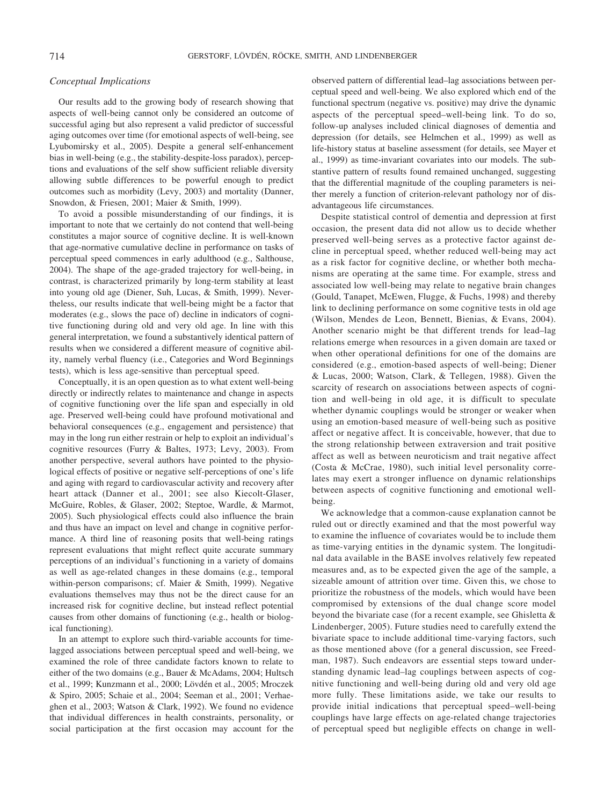## *Conceptual Implications*

Our results add to the growing body of research showing that aspects of well-being cannot only be considered an outcome of successful aging but also represent a valid predictor of successful aging outcomes over time (for emotional aspects of well-being, see Lyubomirsky et al., 2005). Despite a general self-enhancement bias in well-being (e.g., the stability-despite-loss paradox), perceptions and evaluations of the self show sufficient reliable diversity allowing subtle differences to be powerful enough to predict outcomes such as morbidity (Levy, 2003) and mortality (Danner, Snowdon, & Friesen, 2001; Maier & Smith, 1999).

To avoid a possible misunderstanding of our findings, it is important to note that we certainly do not contend that well-being constitutes a major source of cognitive decline. It is well-known that age-normative cumulative decline in performance on tasks of perceptual speed commences in early adulthood (e.g., Salthouse, 2004). The shape of the age-graded trajectory for well-being, in contrast, is characterized primarily by long-term stability at least into young old age (Diener, Suh, Lucas, & Smith, 1999). Nevertheless, our results indicate that well-being might be a factor that moderates (e.g., slows the pace of) decline in indicators of cognitive functioning during old and very old age. In line with this general interpretation, we found a substantively identical pattern of results when we considered a different measure of cognitive ability, namely verbal fluency (i.e., Categories and Word Beginnings tests), which is less age-sensitive than perceptual speed.

Conceptually, it is an open question as to what extent well-being directly or indirectly relates to maintenance and change in aspects of cognitive functioning over the life span and especially in old age. Preserved well-being could have profound motivational and behavioral consequences (e.g., engagement and persistence) that may in the long run either restrain or help to exploit an individual's cognitive resources (Furry & Baltes, 1973; Levy, 2003). From another perspective, several authors have pointed to the physiological effects of positive or negative self-perceptions of one's life and aging with regard to cardiovascular activity and recovery after heart attack (Danner et al., 2001; see also Kiecolt-Glaser, McGuire, Robles, & Glaser, 2002; Steptoe, Wardle, & Marmot, 2005). Such physiological effects could also influence the brain and thus have an impact on level and change in cognitive performance. A third line of reasoning posits that well-being ratings represent evaluations that might reflect quite accurate summary perceptions of an individual's functioning in a variety of domains as well as age-related changes in these domains (e.g., temporal within-person comparisons; cf. Maier & Smith, 1999). Negative evaluations themselves may thus not be the direct cause for an increased risk for cognitive decline, but instead reflect potential causes from other domains of functioning (e.g., health or biological functioning).

In an attempt to explore such third-variable accounts for timelagged associations between perceptual speed and well-being, we examined the role of three candidate factors known to relate to either of the two domains (e.g., Bauer & McAdams, 2004; Hultsch et al., 1999; Kunzmann et al., 2000; Lövdén et al., 2005; Mroczek & Spiro, 2005; Schaie et al., 2004; Seeman et al., 2001; Verhaeghen et al., 2003; Watson & Clark, 1992). We found no evidence that individual differences in health constraints, personality, or social participation at the first occasion may account for the observed pattern of differential lead–lag associations between perceptual speed and well-being. We also explored which end of the functional spectrum (negative vs. positive) may drive the dynamic aspects of the perceptual speed–well-being link. To do so, follow-up analyses included clinical diagnoses of dementia and depression (for details, see Helmchen et al., 1999) as well as life-history status at baseline assessment (for details, see Mayer et al., 1999) as time-invariant covariates into our models. The substantive pattern of results found remained unchanged, suggesting that the differential magnitude of the coupling parameters is neither merely a function of criterion-relevant pathology nor of disadvantageous life circumstances.

Despite statistical control of dementia and depression at first occasion, the present data did not allow us to decide whether preserved well-being serves as a protective factor against decline in perceptual speed, whether reduced well-being may act as a risk factor for cognitive decline, or whether both mechanisms are operating at the same time. For example, stress and associated low well-being may relate to negative brain changes (Gould, Tanapet, McEwen, Flugge, & Fuchs, 1998) and thereby link to declining performance on some cognitive tests in old age (Wilson, Mendes de Leon, Bennett, Bienias, & Evans, 2004). Another scenario might be that different trends for lead–lag relations emerge when resources in a given domain are taxed or when other operational definitions for one of the domains are considered (e.g., emotion-based aspects of well-being; Diener & Lucas, 2000; Watson, Clark, & Tellegen, 1988). Given the scarcity of research on associations between aspects of cognition and well-being in old age, it is difficult to speculate whether dynamic couplings would be stronger or weaker when using an emotion-based measure of well-being such as positive affect or negative affect. It is conceivable, however, that due to the strong relationship between extraversion and trait positive affect as well as between neuroticism and trait negative affect (Costa & McCrae, 1980), such initial level personality correlates may exert a stronger influence on dynamic relationships between aspects of cognitive functioning and emotional wellbeing.

We acknowledge that a common-cause explanation cannot be ruled out or directly examined and that the most powerful way to examine the influence of covariates would be to include them as time-varying entities in the dynamic system. The longitudinal data available in the BASE involves relatively few repeated measures and, as to be expected given the age of the sample, a sizeable amount of attrition over time. Given this, we chose to prioritize the robustness of the models, which would have been compromised by extensions of the dual change score model beyond the bivariate case (for a recent example, see Ghisletta & Lindenberger, 2005). Future studies need to carefully extend the bivariate space to include additional time-varying factors, such as those mentioned above (for a general discussion, see Freedman, 1987). Such endeavors are essential steps toward understanding dynamic lead–lag couplings between aspects of cognitive functioning and well-being during old and very old age more fully. These limitations aside, we take our results to provide initial indications that perceptual speed–well-being couplings have large effects on age-related change trajectories of perceptual speed but negligible effects on change in well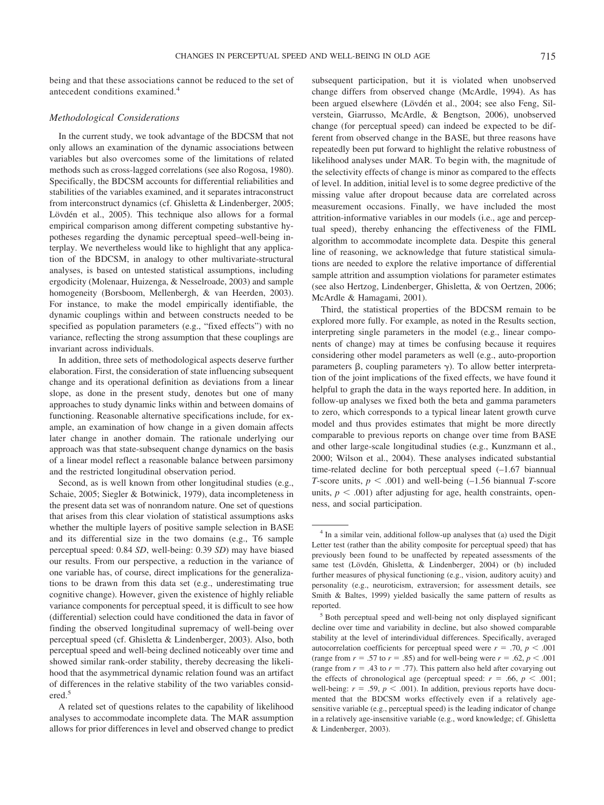being and that these associations cannot be reduced to the set of antecedent conditions examined.<sup>4</sup>

## *Methodological Considerations*

In the current study, we took advantage of the BDCSM that not only allows an examination of the dynamic associations between variables but also overcomes some of the limitations of related methods such as cross-lagged correlations (see also Rogosa, 1980). Specifically, the BDCSM accounts for differential reliabilities and stabilities of the variables examined, and it separates intraconstruct from interconstruct dynamics (cf. Ghisletta & Lindenberger, 2005; Lövdén et al., 2005). This technique also allows for a formal empirical comparison among different competing substantive hypotheses regarding the dynamic perceptual speed–well-being interplay. We nevertheless would like to highlight that any application of the BDCSM, in analogy to other multivariate-structural analyses, is based on untested statistical assumptions, including ergodicity (Molenaar, Huizenga, & Nesselroade, 2003) and sample homogeneity (Borsboom, Mellenbergh, & van Heerden, 2003). For instance, to make the model empirically identifiable, the dynamic couplings within and between constructs needed to be specified as population parameters (e.g., "fixed effects") with no variance, reflecting the strong assumption that these couplings are invariant across individuals.

In addition, three sets of methodological aspects deserve further elaboration. First, the consideration of state influencing subsequent change and its operational definition as deviations from a linear slope, as done in the present study, denotes but one of many approaches to study dynamic links within and between domains of functioning. Reasonable alternative specifications include, for example, an examination of how change in a given domain affects later change in another domain. The rationale underlying our approach was that state-subsequent change dynamics on the basis of a linear model reflect a reasonable balance between parsimony and the restricted longitudinal observation period.

Second, as is well known from other longitudinal studies (e.g., Schaie, 2005; Siegler & Botwinick, 1979), data incompleteness in the present data set was of nonrandom nature. One set of questions that arises from this clear violation of statistical assumptions asks whether the multiple layers of positive sample selection in BASE and its differential size in the two domains (e.g., T6 sample perceptual speed: 0.84 *SD*, well-being: 0.39 *SD*) may have biased our results. From our perspective, a reduction in the variance of one variable has, of course, direct implications for the generalizations to be drawn from this data set (e.g., underestimating true cognitive change). However, given the existence of highly reliable variance components for perceptual speed, it is difficult to see how (differential) selection could have conditioned the data in favor of finding the observed longitudinal supremacy of well-being over perceptual speed (cf. Ghisletta & Lindenberger, 2003). Also, both perceptual speed and well-being declined noticeably over time and showed similar rank-order stability, thereby decreasing the likelihood that the asymmetrical dynamic relation found was an artifact of differences in the relative stability of the two variables considered.5

A related set of questions relates to the capability of likelihood analyses to accommodate incomplete data. The MAR assumption allows for prior differences in level and observed change to predict subsequent participation, but it is violated when unobserved change differs from observed change (McArdle, 1994). As has been argued elsewhere (Lövdén et al., 2004; see also Feng, Silverstein, Giarrusso, McArdle, & Bengtson, 2006), unobserved change (for perceptual speed) can indeed be expected to be different from observed change in the BASE, but three reasons have repeatedly been put forward to highlight the relative robustness of likelihood analyses under MAR. To begin with, the magnitude of the selectivity effects of change is minor as compared to the effects of level. In addition, initial level is to some degree predictive of the missing value after dropout because data are correlated across measurement occasions. Finally, we have included the most attrition-informative variables in our models (i.e., age and perceptual speed), thereby enhancing the effectiveness of the FIML algorithm to accommodate incomplete data. Despite this general line of reasoning, we acknowledge that future statistical simulations are needed to explore the relative importance of differential sample attrition and assumption violations for parameter estimates (see also Hertzog, Lindenberger, Ghisletta, & von Oertzen, 2006; McArdle & Hamagami, 2001).

Third, the statistical properties of the BDCSM remain to be explored more fully. For example, as noted in the Results section, interpreting single parameters in the model (e.g., linear components of change) may at times be confusing because it requires considering other model parameters as well (e.g., auto-proportion parameters  $\beta$ , coupling parameters  $\gamma$ ). To allow better interpretation of the joint implications of the fixed effects, we have found it helpful to graph the data in the ways reported here. In addition, in follow-up analyses we fixed both the beta and gamma parameters to zero, which corresponds to a typical linear latent growth curve model and thus provides estimates that might be more directly comparable to previous reports on change over time from BASE and other large-scale longitudinal studies (e.g., Kunzmann et al., 2000; Wilson et al., 2004). These analyses indicated substantial time-related decline for both perceptual speed (–1.67 biannual *T*-score units,  $p \leq .001$ ) and well-being (-1.56 biannual *T*-score units,  $p < .001$ ) after adjusting for age, health constraints, openness, and social participation.

<sup>&</sup>lt;sup>4</sup> In a similar vein, additional follow-up analyses that (a) used the Digit Letter test (rather than the ability composite for perceptual speed) that has previously been found to be unaffected by repeated assessments of the same test (Lövdén, Ghisletta, & Lindenberger, 2004) or (b) included further measures of physical functioning (e.g., vision, auditory acuity) and personality (e.g., neuroticism, extraversion; for assessment details, see Smith & Baltes, 1999) yielded basically the same pattern of results as reported.

<sup>5</sup> Both perceptual speed and well-being not only displayed significant decline over time and variability in decline, but also showed comparable stability at the level of interindividual differences. Specifically, averaged autocorrelation coefficients for perceptual speed were  $r = .70$ ,  $p < .001$ (range from  $r = .57$  to  $r = .85$ ) and for well-being were  $r = .62$ ,  $p < .001$ (range from  $r = .43$  to  $r = .77$ ). This pattern also held after covarying out the effects of chronological age (perceptual speed:  $r = .66$ ,  $p < .001$ ; well-being:  $r = .59$ ,  $p < .001$ ). In addition, previous reports have documented that the BDCSM works effectively even if a relatively agesensitive variable (e.g., perceptual speed) is the leading indicator of change in a relatively age-insensitive variable (e.g., word knowledge; cf. Ghisletta & Lindenberger, 2003).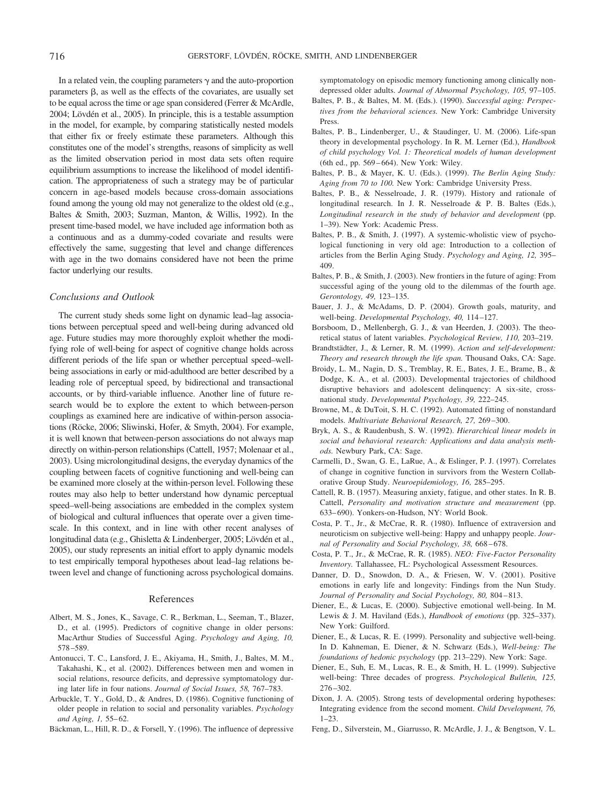In a related vein, the coupling parameters  $\gamma$  and the auto-proportion parameters  $\beta$ , as well as the effects of the covariates, are usually set to be equal across the time or age span considered (Ferrer & McArdle, 2004; Lövdén et al., 2005). In principle, this is a testable assumption in the model, for example, by comparing statistically nested models that either fix or freely estimate these parameters. Although this constitutes one of the model's strengths, reasons of simplicity as well as the limited observation period in most data sets often require equilibrium assumptions to increase the likelihood of model identification. The appropriateness of such a strategy may be of particular concern in age-based models because cross-domain associations found among the young old may not generalize to the oldest old (e.g., Baltes & Smith, 2003; Suzman, Manton, & Willis, 1992). In the present time-based model, we have included age information both as a continuous and as a dummy-coded covariate and results were effectively the same, suggesting that level and change differences with age in the two domains considered have not been the prime factor underlying our results.

### *Conclusions and Outlook*

The current study sheds some light on dynamic lead–lag associations between perceptual speed and well-being during advanced old age. Future studies may more thoroughly exploit whether the modifying role of well-being for aspect of cognitive change holds across different periods of the life span or whether perceptual speed–wellbeing associations in early or mid-adulthood are better described by a leading role of perceptual speed, by bidirectional and transactional accounts, or by third-variable influence. Another line of future research would be to explore the extent to which between-person couplings as examined here are indicative of within-person associations (Röcke, 2006; Sliwinski, Hofer, & Smyth, 2004). For example, it is well known that between-person associations do not always map directly on within-person relationships (Cattell, 1957; Molenaar et al., 2003). Using microlongitudinal designs, the everyday dynamics of the coupling between facets of cognitive functioning and well-being can be examined more closely at the within-person level. Following these routes may also help to better understand how dynamic perceptual speed–well-being associations are embedded in the complex system of biological and cultural influences that operate over a given timescale. In this context, and in line with other recent analyses of longitudinal data (e.g., Ghisletta & Lindenberger, 2005; Lövdén et al., 2005), our study represents an initial effort to apply dynamic models to test empirically temporal hypotheses about lead–lag relations between level and change of functioning across psychological domains.

### References

- Albert, M. S., Jones, K., Savage, C. R., Berkman, L., Seeman, T., Blazer, D., et al. (1995). Predictors of cognitive change in older persons: MacArthur Studies of Successful Aging. *Psychology and Aging, 10,* 578 –589.
- Antonucci, T. C., Lansford, J. E., Akiyama, H., Smith, J., Baltes, M. M., Takahashi, K., et al. (2002). Differences between men and women in social relations, resource deficits, and depressive symptomatology during later life in four nations. *Journal of Social Issues, 58,* 767–783.
- Arbuckle, T. Y., Gold, D., & Andres, D. (1986). Cognitive functioning of older people in relation to social and personality variables. *Psychology* and Aging, 1, 55-62.
- Bäckman, L., Hill, R. D., & Forsell, Y. (1996). The influence of depressive

symptomatology on episodic memory functioning among clinically nondepressed older adults. *Journal of Abnormal Psychology, 105,* 97–105.

- Baltes, P. B., & Baltes, M. M. (Eds.). (1990). *Successful aging: Perspectives from the behavioral sciences.* New York: Cambridge University Press.
- Baltes, P. B., Lindenberger, U., & Staudinger, U. M. (2006). Life-span theory in developmental psychology. In R. M. Lerner (Ed.), *Handbook of child psychology Vol. 1: Theoretical models of human development* (6th ed., pp. 569 – 664). New York: Wiley.
- Baltes, P. B., & Mayer, K. U. (Eds.). (1999). *The Berlin Aging Study: Aging from 70 to 100.* New York: Cambridge University Press.
- Baltes, P. B., & Nesselroade, J. R. (1979). History and rationale of longitudinal research. In J. R. Nesselroade & P. B. Baltes (Eds.), *Longitudinal research in the study of behavior and development* (pp. 1–39). New York: Academic Press.
- Baltes, P. B., & Smith, J. (1997). A systemic-wholistic view of psychological functioning in very old age: Introduction to a collection of articles from the Berlin Aging Study. *Psychology and Aging, 12,* 395– 409.
- Baltes, P. B., & Smith, J. (2003). New frontiers in the future of aging: From successful aging of the young old to the dilemmas of the fourth age. *Gerontology, 49,* 123–135.
- Bauer, J. J., & McAdams, D. P. (2004). Growth goals, maturity, and well-being. *Developmental Psychology, 40,* 114 –127.
- Borsboom, D., Mellenbergh, G. J., & van Heerden, J. (2003). The theoretical status of latent variables. *Psychological Review, 110,* 203–219.
- Brandtstädter, J., & Lerner, R. M. (1999). Action and self-development: *Theory and research through the life span.* Thousand Oaks, CA: Sage.
- Broidy, L. M., Nagin, D. S., Tremblay, R. E., Bates, J. E., Brame, B., & Dodge, K. A., et al. (2003). Developmental trajectories of childhood disruptive behaviors and adolescent delinquency: A six-site, crossnational study. *Developmental Psychology, 39,* 222–245.
- Browne, M., & DuToit, S. H. C. (1992). Automated fitting of nonstandard models. *Multivariate Behavioral Research, 27,* 269 –300.
- Bryk, A. S., & Raudenbush, S. W. (1992). *Hierarchical linear models in social and behavioral research: Applications and data analysis methods.* Newbury Park, CA: Sage.
- Carmelli, D., Swan, G. E., LaRue, A., & Eslinger, P. J. (1997). Correlates of change in cognitive function in survivors from the Western Collaborative Group Study. *Neuroepidemiology, 16,* 285–295.
- Cattell, R. B. (1957). Measuring anxiety, fatigue, and other states. In R. B. Cattell, *Personality and motivation structure and measurement* (pp. 633– 690). Yonkers-on-Hudson, NY: World Book.
- Costa, P. T., Jr., & McCrae, R. R. (1980). Influence of extraversion and neuroticism on subjective well-being: Happy and unhappy people. *Journal of Personality and Social Psychology, 38,* 668 – 678.
- Costa, P. T., Jr., & McCrae, R. R. (1985). *NEO: Five-Factor Personality Inventory.* Tallahassee, FL: Psychological Assessment Resources.
- Danner, D. D., Snowdon, D. A., & Friesen, W. V. (2001). Positive emotions in early life and longevity: Findings from the Nun Study. *Journal of Personality and Social Psychology, 80,* 804 – 813.
- Diener, E., & Lucas, E. (2000). Subjective emotional well-being. In M. Lewis & J. M. Haviland (Eds.), *Handbook of emotions* (pp. 325–337). New York: Guilford.
- Diener, E., & Lucas, R. E. (1999). Personality and subjective well-being. In D. Kahneman, E. Diener, & N. Schwarz (Eds.), *Well-being: The foundations of hedonic psychology* (pp. 213–229). New York: Sage.
- Diener, E., Suh, E. M., Lucas, R. E., & Smith, H. L. (1999). Subjective well-being: Three decades of progress. *Psychological Bulletin, 125,* 276 –302.
- Dixon, J. A. (2005). Strong tests of developmental ordering hypotheses: Integrating evidence from the second moment. *Child Development, 76,* 1–23.
- Feng, D., Silverstein, M., Giarrusso, R. McArdle, J. J., & Bengtson, V. L.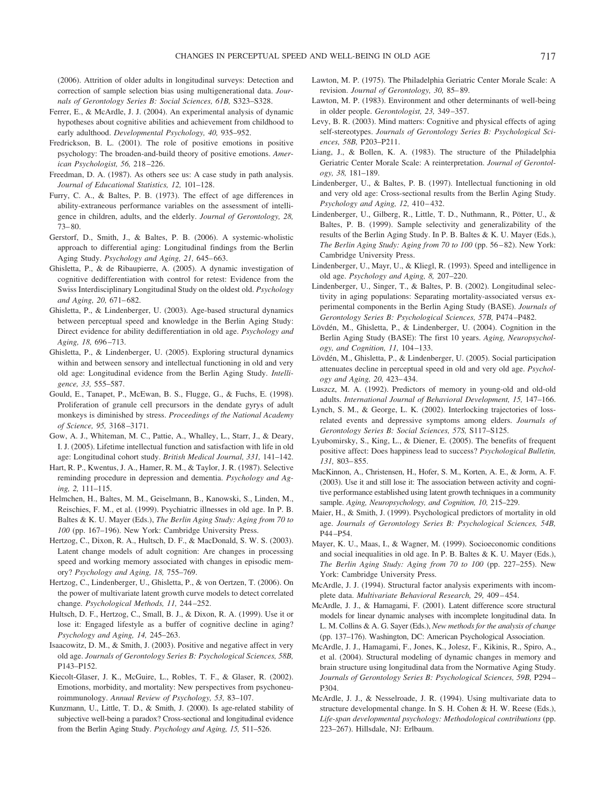(2006). Attrition of older adults in longitudinal surveys: Detection and correction of sample selection bias using multigenerational data. *Journals of Gerontology Series B: Social Sciences, 61B,* S323–S328.

- Ferrer, E., & McArdle, J. J. (2004). An experimental analysis of dynamic hypotheses about cognitive abilities and achievement from childhood to early adulthood. *Developmental Psychology, 40,* 935–952.
- Fredrickson, B. L. (2001). The role of positive emotions in positive psychology: The broaden-and-build theory of positive emotions. *American Psychologist, 56,* 218 –226.
- Freedman, D. A. (1987). As others see us: A case study in path analysis. *Journal of Educational Statistics, 12,* 101–128.
- Furry, C. A., & Baltes, P. B. (1973). The effect of age differences in ability-extraneous performance variables on the assessment of intelligence in children, adults, and the elderly. *Journal of Gerontology, 28,* 73– 80.
- Gerstorf, D., Smith, J., & Baltes, P. B. (2006). A systemic-wholistic approach to differential aging: Longitudinal findings from the Berlin Aging Study. *Psychology and Aging, 21,* 645– 663.
- Ghisletta, P., & de Ribaupierre, A. (2005). A dynamic investigation of cognitive dedifferentiation with control for retest: Evidence from the Swiss Interdisciplinary Longitudinal Study on the oldest old. *Psychology and Aging, 20,* 671– 682.
- Ghisletta, P., & Lindenberger, U. (2003). Age-based structural dynamics between perceptual speed and knowledge in the Berlin Aging Study: Direct evidence for ability dedifferentiation in old age. *Psychology and Aging, 18,* 696 –713.
- Ghisletta, P., & Lindenberger, U. (2005). Exploring structural dynamics within and between sensory and intellectual functioning in old and very old age: Longitudinal evidence from the Berlin Aging Study. *Intelligence, 33,* 555–587.
- Gould, E., Tanapet, P., McEwan, B. S., Flugge, G., & Fuchs, E. (1998). Proliferation of granule cell precursors in the dendate gyrys of adult monkeys is diminished by stress. *Proceedings of the National Academy of Science, 95,* 3168 –3171.
- Gow, A. J., Whiteman, M. C., Pattie, A., Whalley, L., Starr, J., & Deary, I. J. (2005). Lifetime intellectual function and satisfaction with life in old age: Longitudinal cohort study. *British Medical Journal, 331,* 141–142.
- Hart, R. P., Kwentus, J. A., Hamer, R. M., & Taylor, J. R. (1987). Selective reminding procedure in depression and dementia. *Psychology and Aging, 2,* 111–115.
- Helmchen, H., Baltes, M. M., Geiselmann, B., Kanowski, S., Linden, M., Reischies, F. M., et al. (1999). Psychiatric illnesses in old age. In P. B. Baltes & K. U. Mayer (Eds.), *The Berlin Aging Study: Aging from 70 to 100* (pp. 167–196). New York: Cambridge University Press.
- Hertzog, C., Dixon, R. A., Hultsch, D. F., & MacDonald, S. W. S. (2003). Latent change models of adult cognition: Are changes in processing speed and working memory associated with changes in episodic memory? *Psychology and Aging, 18,* 755–769.
- Hertzog, C., Lindenberger, U., Ghisletta, P., & von Oertzen, T. (2006). On the power of multivariate latent growth curve models to detect correlated change. *Psychological Methods, 11,* 244 –252.
- Hultsch, D. F., Hertzog, C., Small, B. J., & Dixon, R. A. (1999). Use it or lose it: Engaged lifestyle as a buffer of cognitive decline in aging? *Psychology and Aging, 14,* 245–263.
- Isaacowitz, D. M., & Smith, J. (2003). Positive and negative affect in very old age. *Journals of Gerontology Series B: Psychological Sciences, 58B,* P143–P152.
- Kiecolt-Glaser, J. K., McGuire, L., Robles, T. F., & Glaser, R. (2002). Emotions, morbidity, and mortality: New perspectives from psychoneuroimmunology. *Annual Review of Psychology, 53,* 83–107.
- Kunzmann, U., Little, T. D., & Smith, J. (2000). Is age-related stability of subjective well-being a paradox? Cross-sectional and longitudinal evidence from the Berlin Aging Study. *Psychology and Aging, 15,* 511–526.
- Lawton, M. P. (1975). The Philadelphia Geriatric Center Morale Scale: A revision. *Journal of Gerontology, 30,* 85– 89.
- Lawton, M. P. (1983). Environment and other determinants of well-being in older people. *Gerontologist, 23,* 349 –357.
- Levy, B. R. (2003). Mind matters: Cognitive and physical effects of aging self-stereotypes. *Journals of Gerontology Series B: Psychological Sciences, 58B,* P203–P211.
- Liang, J., & Bollen, K. A. (1983). The structure of the Philadelphia Geriatric Center Morale Scale: A reinterpretation. *Journal of Gerontology, 38,* 181–189.
- Lindenberger, U., & Baltes, P. B. (1997). Intellectual functioning in old and very old age: Cross-sectional results from the Berlin Aging Study. *Psychology and Aging, 12, 410-432.*
- Lindenberger, U., Gilberg, R., Little, T. D., Nuthmann, R., Pötter, U., & Baltes, P. B. (1999). Sample selectivity and generalizability of the results of the Berlin Aging Study. In P. B. Baltes & K. U. Mayer (Eds.), *The Berlin Aging Study: Aging from 70 to 100* (pp. 56 – 82). New York: Cambridge University Press.
- Lindenberger, U., Mayr, U., & Kliegl, R. (1993). Speed and intelligence in old age. *Psychology and Aging, 8,* 207–220.
- Lindenberger, U., Singer, T., & Baltes, P. B. (2002). Longitudinal selectivity in aging populations: Separating mortality-associated versus experimental components in the Berlin Aging Study (BASE). *Journals of Gerontology Series B: Psychological Sciences, 57B,* P474 –P482.
- Lövdén, M., Ghisletta, P., & Lindenberger, U. (2004). Cognition in the Berlin Aging Study (BASE): The first 10 years. *Aging, Neuropsychology, and Cognition, 11,* 104 –133.
- Lövdén, M., Ghisletta, P., & Lindenberger, U. (2005). Social participation attenuates decline in perceptual speed in old and very old age. *Psychology and Aging, 20,* 423– 434.
- Luszcz, M. A. (1992). Predictors of memory in young-old and old-old adults. *International Journal of Behavioral Development, 15,* 147–166.
- Lynch, S. M., & George, L. K. (2002). Interlocking trajectories of lossrelated events and depressive symptoms among elders. *Journals of Gerontology Series B: Social Sciences, 57S,* S117–S125.
- Lyubomirsky, S., King, L., & Diener, E. (2005). The benefits of frequent positive affect: Does happiness lead to success? *Psychological Bulletin, 131,* 803– 855.
- MacKinnon, A., Christensen, H., Hofer, S. M., Korten, A. E., & Jorm, A. F. (2003). Use it and still lose it: The association between activity and cognitive performance established using latent growth techniques in a community sample. *Aging, Neuropsychology, and Cognition, 10,* 215–229.
- Maier, H., & Smith, J. (1999). Psychological predictors of mortality in old age. *Journals of Gerontology Series B: Psychological Sciences, 54B,* P44 –P54.
- Mayer, K. U., Maas, I., & Wagner, M. (1999). Socioeconomic conditions and social inequalities in old age. In P. B. Baltes & K. U. Mayer (Eds.), *The Berlin Aging Study: Aging from 70 to 100* (pp. 227–255). New York: Cambridge University Press.
- McArdle, J. J. (1994). Structural factor analysis experiments with incomplete data. *Multivariate Behavioral Research, 29,* 409 – 454.
- McArdle, J. J., & Hamagami, F. (2001). Latent difference score structural models for linear dynamic analyses with incomplete longitudinal data. In L. M. Collins & A. G. Sayer (Eds.), *New methods for the analysis of change* (pp. 137–176). Washington, DC: American Psychological Association.
- McArdle, J. J., Hamagami, F., Jones, K., Jolesz, F., Kikinis, R., Spiro, A., et al. (2004). Structural modeling of dynamic changes in memory and brain structure using longitudinal data from the Normative Aging Study. *Journals of Gerontology Series B: Psychological Sciences, 59B,* P294 – P304.
- McArdle, J. J., & Nesselroade, J. R. (1994). Using multivariate data to structure developmental change. In S. H. Cohen & H. W. Reese (Eds.), *Life-span developmental psychology: Methodological contributions* (pp. 223–267). Hillsdale, NJ: Erlbaum.